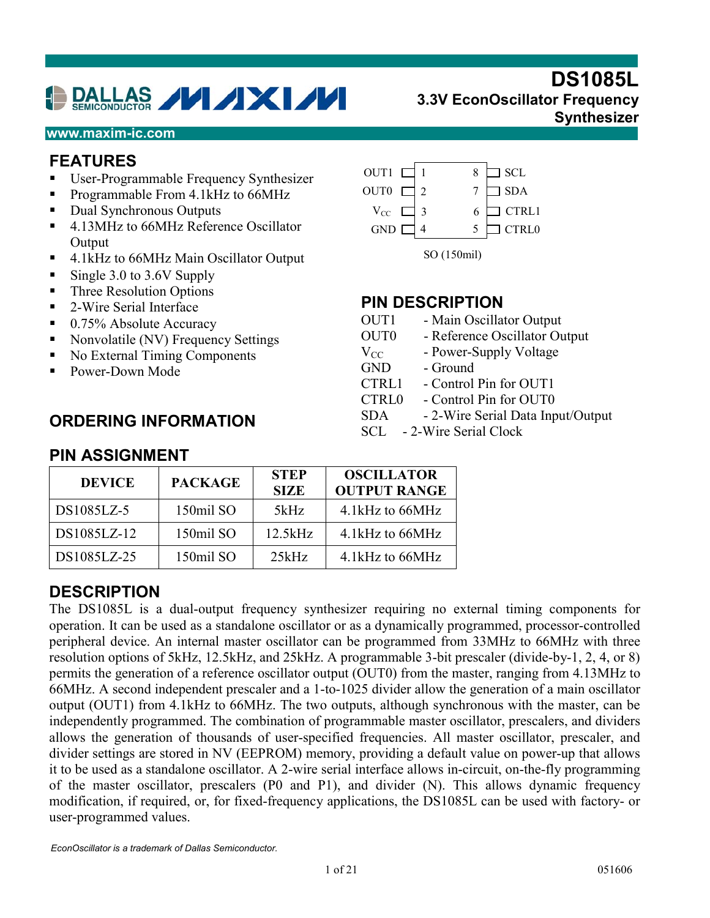# DALLAS VIXIVI

#### **www.maxim-ic.com**

#### **FEATURES**

- -User-Programmable Frequency Synthesizer
- -Programmable From 4.1kHz to 66MHz
- -Dual Synchronous Outputs
- -4.13MHz to 66MHz Reference Oscillator **Output**
- -4.1kHz to 66MHz Main Oscillator Output
- -Single 3.0 to 3.6V Supply
- -Three Resolution Options
- -2-Wire Serial Interface
- -0.75% Absolute Accuracy
- -Nonvolatile (NV) Frequency Settings
- -No External Timing Components
- -Power-Down Mode

#### **ORDERING INFORMATION**



#### **PIN DESCRIPTION**

- OUT1 Main Oscillator Output
- OUT0 Reference Oscillator Output
- $V_{CC}$  Power-Supply Voltage
- GND Ground
- CTRL1 Control Pin for OUT1
- CTRL0 Control Pin for OUT0
- SDA 2-Wire Serial Data Input/Output
- SCL 2-Wire Serial Clock

| <b>DEVICE</b> | <b>PACKAGE</b> | <b>STEP</b><br><b>SIZE</b> | <b>OSCILLATOR</b><br><b>OUTPUT RANGE</b> |
|---------------|----------------|----------------------------|------------------------------------------|
| DS1085LZ-5    | 150mil SO      | 5kHz                       | 4.1 kHz to 66MHz                         |
| DS1085LZ-12   | 150mil SO      | 12.5kHz                    | 4.1 kHz to 66 MHz                        |
| DS1085LZ-25   | 150mil SO      | 25kHz                      | 4.1 kHz to 66MHz                         |

#### **DESCRIPTION**

The DS1085L is a dual-output frequency synthesizer requiring no external timing components for operation. It can be used as a standalone oscillator or as a dynamically programmed, processor-controlled peripheral device. An internal master oscillator can be programmed from 33MHz to 66MHz with three resolution options of 5kHz, 12.5kHz, and 25kHz. A programmable 3-bit prescaler (divide-by-1, 2, 4, or 8) permits the generation of a reference oscillator output (OUT0) from the master, ranging from 4.13MHz to 66MHz. A second independent prescaler and a 1-to-1025 divider allow the generation of a main oscillator output (OUT1) from 4.1kHz to 66MHz. The two outputs, although synchronous with the master, can be independently programmed. The combination of programmable master oscillator, prescalers, and dividers allows the generation of thousands of user-specified frequencies. All master oscillator, prescaler, and divider settings are stored in NV (EEPROM) memory, providing a default value on power-up that allows it to be used as a standalone oscillator. A 2-wire serial interface allows in-circuit, on-the-fly programming of the master oscillator, prescalers (P0 and P1), and divider (N). This allows dynamic frequency modification, if required, or, for fixed-frequency applications, the DS1085L can be used with factory- or user-programmed values.

#### **PIN ASSIGNMENT**

# **DS1085L 3.3V EconOscillator Frequency**

**Synthesizer**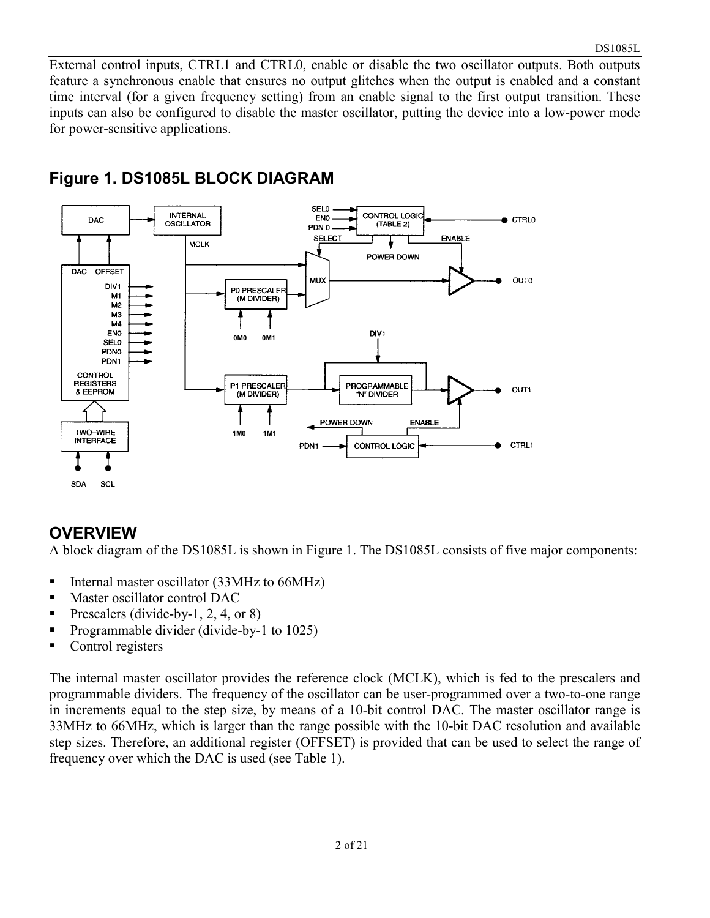External control inputs, CTRL1 and CTRL0, enable or disable the two oscillator outputs. Both outputs feature a synchronous enable that ensures no output glitches when the output is enabled and a constant time interval (for a given frequency setting) from an enable signal to the first output transition. These inputs can also be configured to disable the master oscillator, putting the device into a low-power mode for power-sensitive applications.



# **Figure 1. DS1085L BLOCK DIAGRAM**

#### **OVERVIEW**

A block diagram of the DS1085L is shown in Figure 1. The DS1085L consists of five major components:

- -Internal master oscillator (33MHz to 66MHz)
- -Master oscillator control DAC
- -Prescalers (divide-by-1, 2, 4, or 8)
- -Programmable divider (divide-by-1 to 1025)
- -Control registers

The internal master oscillator provides the reference clock (MCLK), which is fed to the prescalers and programmable dividers. The frequency of the oscillator can be user-programmed over a two-to-one range in increments equal to the step size, by means of a 10-bit control DAC. The master oscillator range is 33MHz to 66MHz, which is larger than the range possible with the 10-bit DAC resolution and available step sizes. Therefore, an additional register (OFFSET) is provided that can be used to select the range of frequency over which the DAC is used (see Table 1).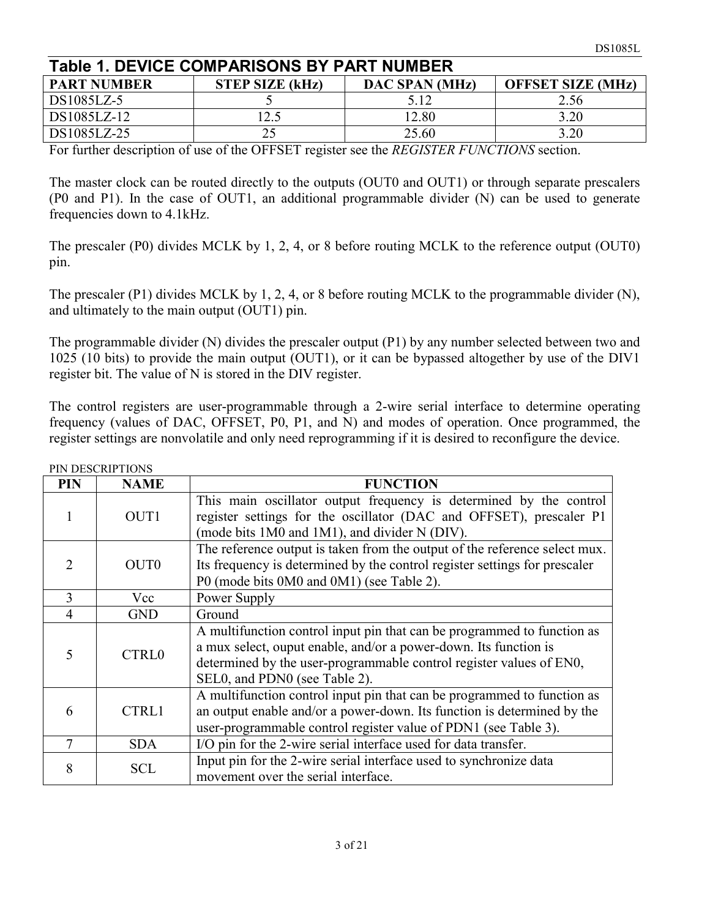| <b>Table 1. DEVICE COMPARISONS BY PART NUMBER</b> |                        |                |                          |  |  |  |  |  |  |
|---------------------------------------------------|------------------------|----------------|--------------------------|--|--|--|--|--|--|
| <b>PART NUMBER</b>                                | <b>STEP SIZE (kHz)</b> | DAC SPAN (MHz) | <b>OFFSET SIZE (MHz)</b> |  |  |  |  |  |  |
| DS1085LZ-5                                        |                        | 5.12           | 2.56                     |  |  |  |  |  |  |
| DS1085LZ-12                                       | l2.5                   | 12.80          | 3.20                     |  |  |  |  |  |  |
| DS1085LZ-25                                       |                        | 25.60          | 3.20                     |  |  |  |  |  |  |

For further description of use of the OFFSET register see the *REGISTER FUNCTIONS* section.

The master clock can be routed directly to the outputs (OUT0 and OUT1) or through separate prescalers (P0 and P1). In the case of OUT1, an additional programmable divider (N) can be used to generate frequencies down to 4.1kHz.

The prescaler (P0) divides MCLK by 1, 2, 4, or 8 before routing MCLK to the reference output (OUT0) pin.

The prescaler (P1) divides MCLK by 1, 2, 4, or 8 before routing MCLK to the programmable divider (N), and ultimately to the main output (OUT1) pin.

The programmable divider (N) divides the prescaler output (P1) by any number selected between two and 1025 (10 bits) to provide the main output (OUT1), or it can be bypassed altogether by use of the DIV1 register bit. The value of N is stored in the DIV register.

The control registers are user-programmable through a 2-wire serial interface to determine operating frequency (values of DAC, OFFSET, P0, P1, and N) and modes of operation. Once programmed, the register settings are nonvolatile and only need reprogramming if it is desired to reconfigure the device.

| <b>PIN</b>     | <b>NAME</b>      | <b>FUNCTION</b>                                                                                                                                                                                                                                     |
|----------------|------------------|-----------------------------------------------------------------------------------------------------------------------------------------------------------------------------------------------------------------------------------------------------|
|                | OUT <sub>1</sub> | This main oscillator output frequency is determined by the control<br>register settings for the oscillator (DAC and OFFSET), prescaler P1<br>(mode bits 1M0 and 1M1), and divider N (DIV).                                                          |
| $\mathcal{D}$  | OUT <sub>0</sub> | The reference output is taken from the output of the reference select mux.<br>Its frequency is determined by the control register settings for prescaler<br>P0 (mode bits 0M0 and 0M1) (see Table 2).                                               |
| 3              | Vcc              | Power Supply                                                                                                                                                                                                                                        |
| $\overline{4}$ | <b>GND</b>       | Ground                                                                                                                                                                                                                                              |
| 5              | <b>CTRL0</b>     | A multifunction control input pin that can be programmed to function as<br>a mux select, ouput enable, and/or a power-down. Its function is<br>determined by the user-programmable control register values of EN0,<br>SEL0, and PDN0 (see Table 2). |
| 6              | <b>CTRL1</b>     | A multifunction control input pin that can be programmed to function as<br>an output enable and/or a power-down. Its function is determined by the<br>user-programmable control register value of PDN1 (see Table 3).                               |
| 7              | <b>SDA</b>       | I/O pin for the 2-wire serial interface used for data transfer.                                                                                                                                                                                     |
| 8              | <b>SCL</b>       | Input pin for the 2-wire serial interface used to synchronize data<br>movement over the serial interface.                                                                                                                                           |

DIN DESCRIPTIONS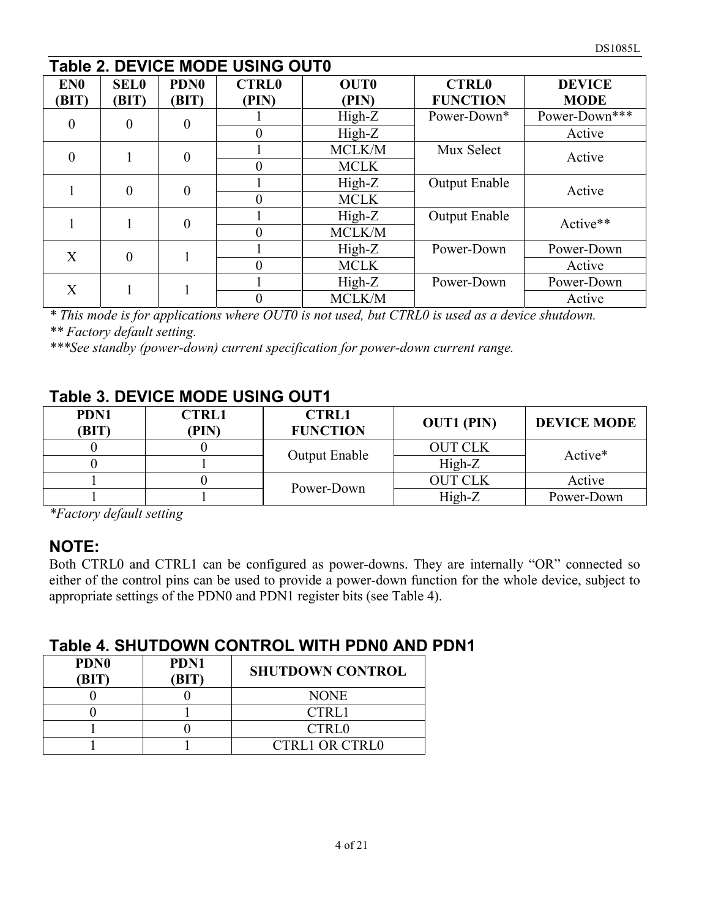|                          | <b>Table 2. DEVICE MODE USING OUT0</b> |                           |                       |                      |                                 |                              |  |  |  |  |  |
|--------------------------|----------------------------------------|---------------------------|-----------------------|----------------------|---------------------------------|------------------------------|--|--|--|--|--|
| EN <sub>0</sub><br>(BIT) | <b>SEL0</b><br>(BIT)                   | PDN <sub>0</sub><br>(BIT) | <b>CTRL0</b><br>(PIN) | <b>OUTO</b><br>(PIN) | <b>CTRL0</b><br><b>FUNCTION</b> | <b>DEVICE</b><br><b>MODE</b> |  |  |  |  |  |
|                          |                                        |                           |                       | $High-Z$             | Power-Down*                     | Power-Down***                |  |  |  |  |  |
| $\theta$                 | $\theta$                               | $\Omega$                  | $\theta$              | $High-Z$             |                                 | Active                       |  |  |  |  |  |
| $\theta$                 |                                        | $\theta$                  |                       | MCLK/M               | Mux Select                      | Active                       |  |  |  |  |  |
|                          |                                        |                           | $\theta$              | <b>MCLK</b>          |                                 |                              |  |  |  |  |  |
|                          | $\theta$                               | $\theta$                  |                       | $High-Z$             | Output Enable                   | Active                       |  |  |  |  |  |
|                          |                                        |                           | $\theta$              | <b>MCLK</b>          |                                 |                              |  |  |  |  |  |
|                          |                                        | $\theta$                  |                       | $High-Z$             | <b>Output Enable</b>            | Active**                     |  |  |  |  |  |
|                          |                                        |                           | $\theta$              | MCLK/M               |                                 |                              |  |  |  |  |  |
| $\mathbf{X}$             | $\theta$                               |                           |                       | $High-Z$             | Power-Down                      | Power-Down                   |  |  |  |  |  |
|                          |                                        |                           | $\theta$              | <b>MCLK</b>          |                                 | Active                       |  |  |  |  |  |
|                          |                                        |                           |                       | $High-Z$             | Power-Down                      | Power-Down                   |  |  |  |  |  |
| X                        |                                        |                           | MCLK/M                |                      | Active                          |                              |  |  |  |  |  |

*\* This mode is for applications where OUT0 is not used, but CTRL0 is used as a device shutdown. \*\* Factory default setting.* 

*\*\*\*See standby (power-down) current specification for power-down current range.* 

# **Table 3. DEVICE MODE USING OUT1**

| PDN1<br>(BIT) | <b>CTRL1</b><br>(PIN) | <b>CTRL1</b><br><b>FUNCTION</b> | <b>OUT1 (PIN)</b> | <b>DEVICE MODE</b>  |  |  |  |
|---------------|-----------------------|---------------------------------|-------------------|---------------------|--|--|--|
|               |                       | <b>Output Enable</b>            | <b>OUT CLK</b>    |                     |  |  |  |
|               |                       |                                 | $High-Z$          | Active <sup>*</sup> |  |  |  |
|               |                       | Power-Down                      | <b>OUT CLK</b>    | Active              |  |  |  |
|               |                       |                                 | High-Z            | Power-Down          |  |  |  |

*\*Factory default setting* 

#### **NOTE:**

Both CTRL0 and CTRL1 can be configured as power-downs. They are internally "OR" connected so either of the control pins can be used to provide a power-down function for the whole device, subject to appropriate settings of the PDN0 and PDN1 register bits (see Table 4).

#### **Table 4. SHUTDOWN CONTROL WITH PDN0 AND PDN1**

| <b>PDN0</b><br>(BIT) | PDN1<br>'BIT | <b>SHUTDOWN CONTROL</b> |
|----------------------|--------------|-------------------------|
|                      |              | <b>NONE</b>             |
|                      |              | CTRL1                   |
|                      |              | <b>CTRL0</b>            |
|                      |              | <b>CTRL1 OR CTRL0</b>   |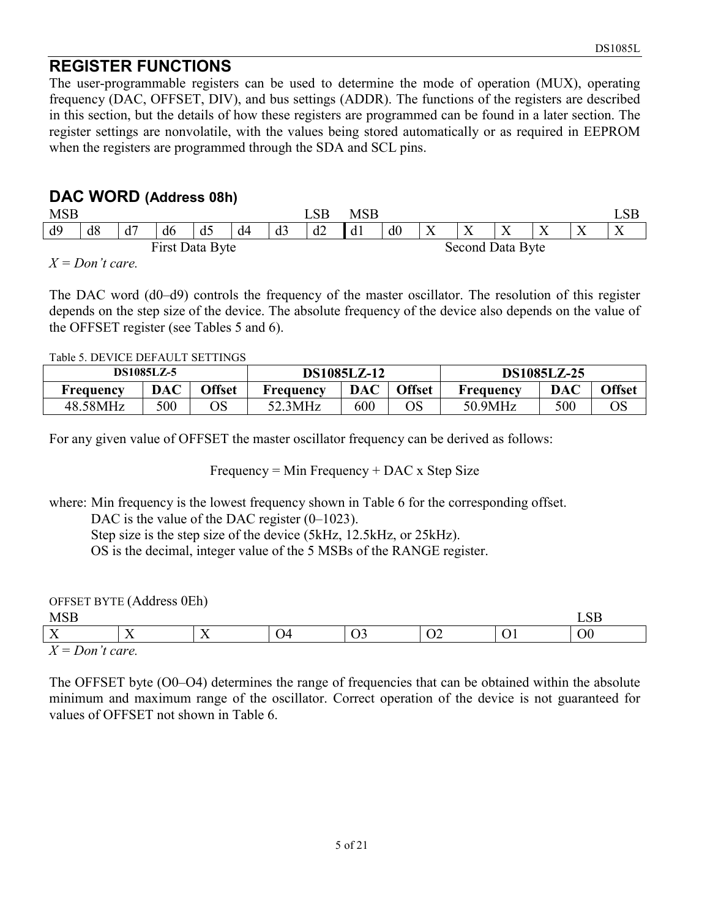## **REGISTER FUNCTIONS**

The user-programmable registers can be used to determine the mode of operation (MUX), operating frequency (DAC, OFFSET, DIV), and bus settings (ADDR). The functions of the registers are described in this section, but the details of how these registers are programmed can be found in a later section. The register settings are nonvolatile, with the values being stored automatically or as required in EEPROM when the registers are programmed through the SDA and SCL pins.

#### **DAC WORD (Address 08h)**

| <b>MSB</b>      |                             |    |    |                |    |    | LSB | <b>MSB</b> |                  |           |           |           |           |
|-----------------|-----------------------------|----|----|----------------|----|----|-----|------------|------------------|-----------|-----------|-----------|-----------|
| d9              | d8                          | d7 | d6 | d <sub>5</sub> | d4 | d3 | d2  | d1         | d0               | $\Lambda$ | $\Lambda$ | $\Lambda$ | $\lambda$ |
| First Data Byte |                             |    |    |                |    |    |     |            | Second Data Byte |           |           |           |           |
| TZ.             | $\mathbf{D}$ , $\mathbf{D}$ |    |    |                |    |    |     |            |                  |           |           |           |           |

*X = Don't care.* 

The DAC word (d0–d9) controls the frequency of the master oscillator. The resolution of this register depends on the step size of the device. The absolute frequency of the device also depends on the value of the OFFSET register (see Tables 5 and 6).

Table 5. DEVICE DEFAULT SETTINGS

|           | <b>DS1085LZ-5</b> |               |           | <b>DS1085LZ-12</b> |               | <b>DS1085LZ-25</b> |            |               |  |  |
|-----------|-------------------|---------------|-----------|--------------------|---------------|--------------------|------------|---------------|--|--|
| Freauencv | DAC               | <b>Offset</b> | Freauencv | <b>DAC</b>         | <b>Offset</b> | Frequency          | <b>DAC</b> | <b>Offset</b> |  |  |
| 48.58MHz  | 500               | OS            | 3MHz      | 600                | OS            | 50.9MHz            | 500        | ОS            |  |  |

For any given value of OFFSET the master oscillator frequency can be derived as follows:

Frequency = Min Frequency + DAC x Step Size

where: Min frequency is the lowest frequency shown in Table 6 for the corresponding offset.

DAC is the value of the DAC register  $(0-1023)$ .

Step size is the step size of the device (5kHz, 12.5kHz, or 25kHz).

OS is the decimal, integer value of the 5 MSBs of the RANGE register.

|     | OFFSET BYTE (Address 0Eh) |  |  |    |
|-----|---------------------------|--|--|----|
| MSB |                           |  |  |    |
| л   |                           |  |  | O0 |

 $= Don't care.$ 

The OFFSET byte (O0–O4) determines the range of frequencies that can be obtained within the absolute minimum and maximum range of the oscillator. Correct operation of the device is not guaranteed for values of OFFSET not shown in Table 6.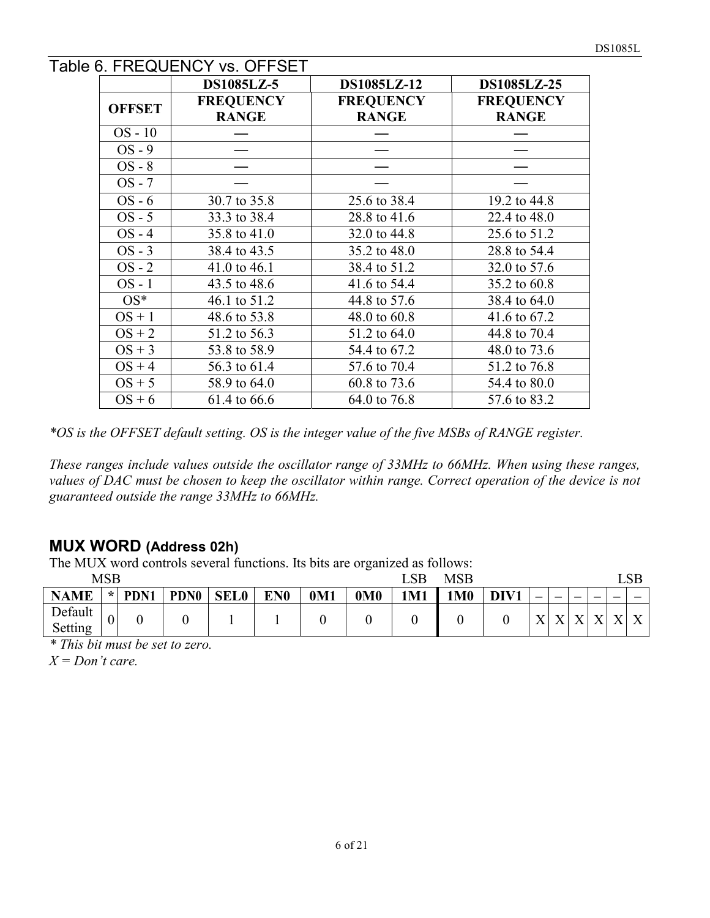#### Table 6. FREQUENCY vs. OFFSET

|               | <b>DS1085LZ-5</b>                | DS1085LZ-12                      | DS1085LZ-25                      |
|---------------|----------------------------------|----------------------------------|----------------------------------|
| <b>OFFSET</b> | <b>FREQUENCY</b><br><b>RANGE</b> | <b>FREQUENCY</b><br><b>RANGE</b> | <b>FREQUENCY</b><br><b>RANGE</b> |
| $OS - 10$     |                                  |                                  |                                  |
| $OS - 9$      |                                  |                                  |                                  |
| $OS - 8$      |                                  |                                  |                                  |
| $OS - 7$      |                                  |                                  |                                  |
| $OS - 6$      | 30.7 to 35.8                     | 25.6 to 38.4                     | 19.2 to 44.8                     |
| $OS - 5$      | 33.3 to 38.4                     | 28.8 to 41.6                     | 22.4 to 48.0                     |
| $OS - 4$      | 35.8 to 41.0                     | 32.0 to 44.8                     | 25.6 to 51.2                     |
| $OS - 3$      | 38.4 to 43.5                     | 35.2 to 48.0                     | 28.8 to 54.4                     |
| $OS - 2$      | 41.0 to 46.1                     | 38.4 to 51.2                     | 32.0 to 57.6                     |
| $OS - 1$      | 43.5 to 48.6                     | 41.6 to 54.4                     | 35.2 to 60.8                     |
| $OS^*$        | 46.1 to 51.2                     | 44.8 to 57.6                     | 38.4 to 64.0                     |
| $OS + 1$      | 48.6 to 53.8                     | 48.0 to 60.8                     | 41.6 to 67.2                     |
| $OS + 2$      | 51.2 to 56.3                     | 51.2 to 64.0                     | 44.8 to 70.4                     |
| $OS + 3$      | 53.8 to 58.9                     | 54.4 to 67.2                     | 48.0 to 73.6                     |
| $OS + 4$      | 56.3 to 61.4                     | 57.6 to 70.4                     | 51.2 to 76.8                     |
| $OS + 5$      | 58.9 to 64.0                     | 60.8 to 73.6                     | 54.4 to 80.0                     |
| $OS + 6$      | 61.4 to 66.6                     | 64.0 to 76.8                     | 57.6 to 83.2                     |

*\*OS is the OFFSET default setting. OS is the integer value of the five MSBs of RANGE register.* 

*These ranges include values outside the oscillator range of 33MHz to 66MHz. When using these ranges, values of DAC must be chosen to keep the oscillator within range. Correct operation of the device is not guaranteed outside the range 33MHz to 66MHz.* 

#### **MUX WORD (Address 02h)**

The MUX word controls several functions. Its bits are organized as follows:

|             | <b>MSB</b>     |      |             | <b>MSB</b><br>LSB |                 |                 |                 |     |           |      |              |              |              |              |              |              |
|-------------|----------------|------|-------------|-------------------|-----------------|-----------------|-----------------|-----|-----------|------|--------------|--------------|--------------|--------------|--------------|--------------|
| <b>NAME</b> | $\star$        | PDN1 | <b>PDN0</b> | <b>SEL0</b>       | EN <sub>0</sub> | 0 <sub>M1</sub> | 0 <sub>M0</sub> | 1M1 | <b>M0</b> | DIV1 | –            | -            | –            | –            |              | –            |
| Default     | $\overline{0}$ |      |             |                   |                 |                 |                 |     |           |      | $\mathbf{v}$ | $\mathbf{v}$ | $\mathbf{v}$ | $\mathbf{v}$ | $\mathbf{v}$ | $\mathbf{v}$ |
| Setting     |                |      |             |                   |                 |                 |                 |     |           |      |              |              | ∡            |              | $\Lambda$    |              |

*\* This bit must be set to zero.* 

*X = Don't care.*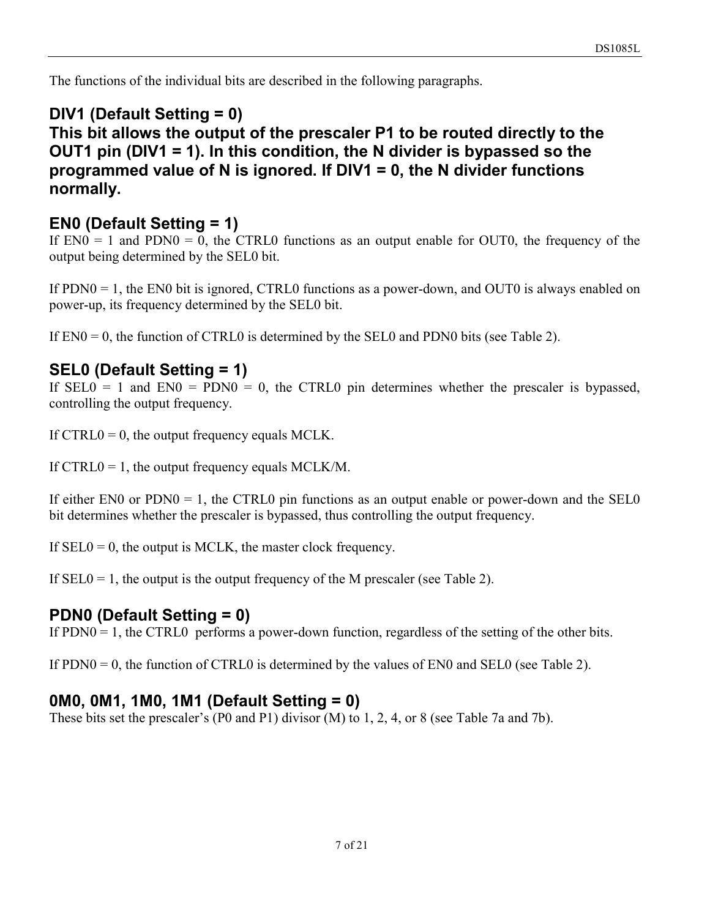The functions of the individual bits are described in the following paragraphs.

#### **DIV1 (Default Setting = 0) This bit allows the output of the prescaler P1 to be routed directly to the OUT1 pin (DIV1 = 1). In this condition, the N divider is bypassed so the programmed value of N is ignored. If DIV1 = 0, the N divider functions normally.**

## **EN0 (Default Setting = 1)**

If  $EN0 = 1$  and  $PDN0 = 0$ , the CTRL0 functions as an output enable for OUT0, the frequency of the output being determined by the SEL0 bit.

If PDN0 = 1, the EN0 bit is ignored, CTRL0 functions as a power-down, and OUT0 is always enabled on power-up, its frequency determined by the SEL0 bit.

If  $EN0 = 0$ , the function of CTRL0 is determined by the SEL0 and PDN0 bits (see Table 2).

#### **SEL0 (Default Setting = 1)**

If  $SELO = 1$  and  $ENO = PDNO = 0$ , the CTRLO pin determines whether the prescaler is bypassed, controlling the output frequency.

If  $CTRL0 = 0$ , the output frequency equals MCLK.

If CTRL0 = 1, the output frequency equals MCLK/M.

If either  $EN0$  or  $PDNA0 = 1$ , the CTRL0 pin functions as an output enable or power-down and the SEL0 bit determines whether the prescaler is bypassed, thus controlling the output frequency.

If  $SELO = 0$ , the output is MCLK, the master clock frequency.

If  $SELO = 1$ , the output is the output frequency of the M prescaler (see Table 2).

#### **PDN0 (Default Setting = 0)**

If PDN0 = 1, the CTRL0 performs a power-down function, regardless of the setting of the other bits.

If PDN0 = 0, the function of CTRL0 is determined by the values of EN0 and SEL0 (see Table 2).

#### **0M0, 0M1, 1M0, 1M1 (Default Setting = 0)**

These bits set the prescaler's (P0 and P1) divisor (M) to 1, 2, 4, or 8 (see Table 7a and 7b).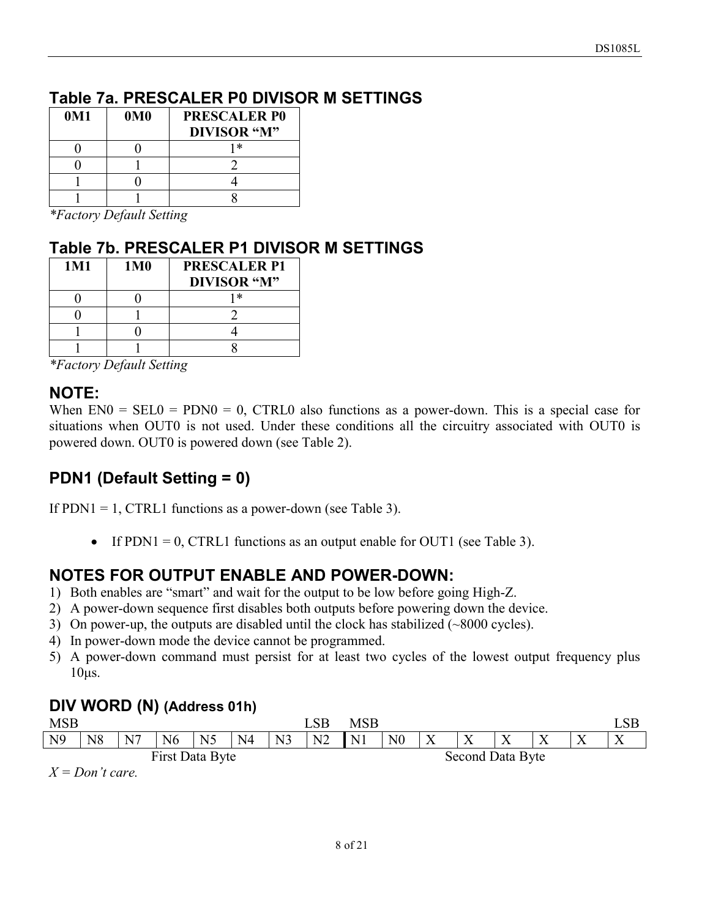# **Table 7a. PRESCALER P0 DIVISOR M SETTINGS**

| 0M1 | 0 <sub>M0</sub> | <b>PRESCALER P0</b> |
|-----|-----------------|---------------------|
|     |                 | <b>DIVISOR</b> "M"  |
|     |                 | 1 *                 |
|     |                 |                     |
|     |                 |                     |
|     |                 |                     |

*\*Factory Default Setting* 

# **Table 7b. PRESCALER P1 DIVISOR M SETTINGS**

| 1M1 | 1M <sub>0</sub> | <b>PRESCALER P1</b><br><b>DIVISOR</b> "M" |
|-----|-----------------|-------------------------------------------|
|     |                 | 1 *                                       |
|     |                 |                                           |
|     |                 |                                           |
|     |                 |                                           |

*\*Factory Default Setting* 

#### **NOTE:**

When  $EN0 = SEL0 = PDN0 = 0$ , CTRL0 also functions as a power-down. This is a special case for situations when OUT0 is not used. Under these conditions all the circuitry associated with OUT0 is powered down. OUT0 is powered down (see Table 2).

# **PDN1 (Default Setting = 0)**

If  $PDN1 = 1$ , CTRL1 functions as a power-down (see Table 3).

If PDN1 = 0, CTRL1 functions as an output enable for OUT1 (see Table 3).

# **NOTES FOR OUTPUT ENABLE AND POWER-DOWN:**

- 1) Both enables are "smart" and wait for the output to be low before going High-Z.
- 2) A power-down sequence first disables both outputs before powering down the device.
- 3) On power-up, the outputs are disabled until the clock has stabilized (~8000 cycles).
- 4) In power-down mode the device cannot be programmed.
- 5) A power-down command must persist for at least two cycles of the lowest output frequency plus  $10\mu s$ .

#### **DIV WORD (N) (Address 01h)**

| <b>MSB</b>      |            |    |                |                |                |                | $\_SB$         | MSB            |                  |              |                           |                           |                           |                           |                           |
|-----------------|------------|----|----------------|----------------|----------------|----------------|----------------|----------------|------------------|--------------|---------------------------|---------------------------|---------------------------|---------------------------|---------------------------|
| N <sub>9</sub>  | N8         | N7 | N <sub>6</sub> | N <sub>5</sub> | N <sub>4</sub> | N <sub>3</sub> | N <sub>2</sub> | N <sub>1</sub> | N <sub>0</sub>   | $\mathbf{v}$ | $\mathbf{v}$<br>$\Lambda$ | $\mathbf{v}$<br>$\Lambda$ | $\mathbf{v}$<br>$\Lambda$ | $\mathbf{v}$<br>$\Lambda$ | $\mathbf{v}$<br>$\Lambda$ |
| First Data Byte |            |    |                |                |                |                |                |                | Second Data Byte |              |                           |                           |                           |                           |                           |
| <b>T</b>        | $\sqrt{ }$ |    |                |                |                |                |                |                |                  |              |                           |                           |                           |                           |                           |

*X = Don't care.*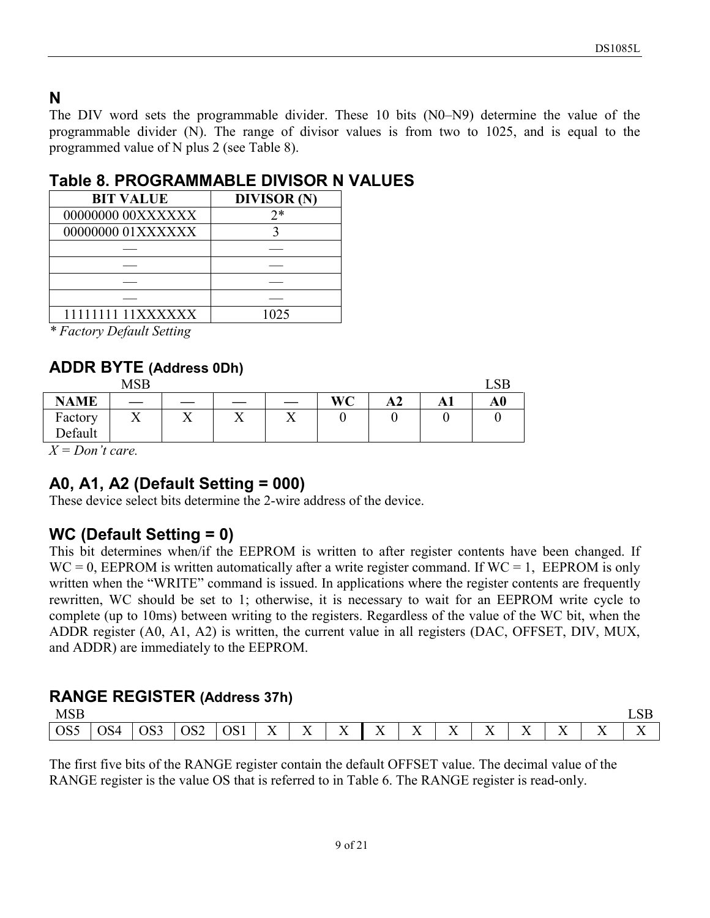# **N**

The DIV word sets the programmable divider. These 10 bits (N0–N9) determine the value of the programmable divider (N). The range of divisor values is from two to 1025, and is equal to the programmed value of N plus 2 (see Table 8).

#### **Table 8. PROGRAMMABLE DIVISOR N VALUES**

| <b>BIT VALUE</b>  | <b>DIVISOR</b> (N) |
|-------------------|--------------------|
| 00000000 00XXXXXX | 2*                 |
| 00000000 01XXXXXX |                    |
|                   |                    |
|                   |                    |
|                   |                    |
|                   |                    |
| 11111111 11XXXXXX | 1025               |

*\* Factory Default Setting* 

# **ADDR BYTE (Address 0Dh)**

|             | <b>MSB</b> |                |         |          |    |                |    |           |
|-------------|------------|----------------|---------|----------|----|----------------|----|-----------|
| <b>NAME</b> |            |                |         |          | WC | A <sub>2</sub> | A1 | $\bf{A0}$ |
| Factory     | --<br>∡⊾   | <b>T</b><br>∡⊾ | T.<br>∡ | T.<br>∡⊾ |    |                |    |           |
| Default     |            |                |         |          |    |                |    |           |

*X = Don't care.* 

# **A0, A1, A2 (Default Setting = 000)**

These device select bits determine the 2-wire address of the device.

# **WC (Default Setting = 0)**

This bit determines when/if the EEPROM is written to after register contents have been changed. If  $WC = 0$ , EEPROM is written automatically after a write register command. If  $WC = 1$ , EEPROM is only written when the "WRITE" command is issued. In applications where the register contents are frequently rewritten, WC should be set to 1; otherwise, it is necessary to wait for an EEPROM write cycle to complete (up to 10ms) between writing to the registers. Regardless of the value of the WC bit, when the ADDR register (A0, A1, A2) is written, the current value in all registers (DAC, OFFSET, DIV, MUX, and ADDR) are immediately to the EEPROM.

# **RANGE REGISTER (Address 37h)**

| <b>MSB</b>      |     |     |                 |     |                                |                           |                           |                           |                  |                  |                  |          |             |                           | <b>LSB</b> |
|-----------------|-----|-----|-----------------|-----|--------------------------------|---------------------------|---------------------------|---------------------------|------------------|------------------|------------------|----------|-------------|---------------------------|------------|
| OS <sub>5</sub> | OS4 | OS3 | OS <sub>2</sub> | OS1 | $\mathbf{v}$<br>v<br>$\Lambda$ | $\mathbf{x}$<br>$\Lambda$ | $\mathbf{v}$<br>$\Lambda$ | $\mathbf{v}$<br>$\Lambda$ | $-$<br>$\Lambda$ | $-$<br>$\Lambda$ | $-$<br>$\Lambda$ | $-$<br>△ | $ -$<br>. . | $\mathbf{v}$<br>$\Lambda$ | $-$<br>Δ   |

The first five bits of the RANGE register contain the default OFFSET value. The decimal value of the RANGE register is the value OS that is referred to in Table 6. The RANGE register is read-only.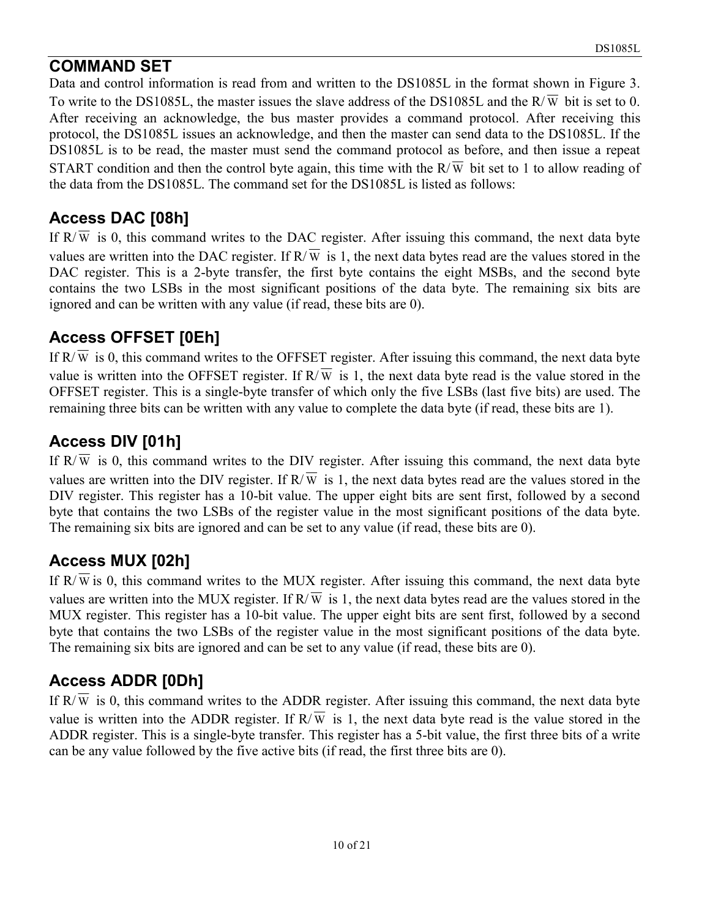# **COMMAND SET**

Data and control information is read from and written to the DS1085L in the format shown in Figure 3. To write to the DS1085L, the master issues the slave address of the DS1085L and the  $R/\overline{W}$  bit is set to 0. After receiving an acknowledge, the bus master provides a command protocol. After receiving this protocol, the DS1085L issues an acknowledge, and then the master can send data to the DS1085L. If the DS1085L is to be read, the master must send the command protocol as before, and then issue a repeat START condition and then the control byte again, this time with the  $R/\overline{W}$  bit set to 1 to allow reading of the data from the DS1085L. The command set for the DS1085L is listed as follows:

# **Access DAC [08h]**

If  $R/\overline{W}$  is 0, this command writes to the DAC register. After issuing this command, the next data byte values are written into the DAC register. If  $R/\overline{W}$  is 1, the next data bytes read are the values stored in the DAC register. This is a 2-byte transfer, the first byte contains the eight MSBs, and the second byte contains the two LSBs in the most significant positions of the data byte. The remaining six bits are ignored and can be written with any value (if read, these bits are 0).

# **Access OFFSET [0Eh]**

If  $R/\overline{W}$  is 0, this command writes to the OFFSET register. After issuing this command, the next data byte value is written into the OFFSET register. If  $R/\overline{w}$  is 1, the next data byte read is the value stored in the OFFSET register. This is a single-byte transfer of which only the five LSBs (last five bits) are used. The remaining three bits can be written with any value to complete the data byte (if read, these bits are 1).

# **Access DIV [01h]**

If  $R/\overline{W}$  is 0, this command writes to the DIV register. After issuing this command, the next data byte values are written into the DIV register. If  $R/\overline{W}$  is 1, the next data bytes read are the values stored in the DIV register. This register has a 10-bit value. The upper eight bits are sent first, followed by a second byte that contains the two LSBs of the register value in the most significant positions of the data byte. The remaining six bits are ignored and can be set to any value (if read, these bits are 0).

# **Access MUX [02h]**

If  $R/\overline{W}$  is 0, this command writes to the MUX register. After issuing this command, the next data byte values are written into the MUX register. If  $R/\overline{W}$  is 1, the next data bytes read are the values stored in the MUX register. This register has a 10-bit value. The upper eight bits are sent first, followed by a second byte that contains the two LSBs of the register value in the most significant positions of the data byte. The remaining six bits are ignored and can be set to any value (if read, these bits are 0).

# **Access ADDR [0Dh]**

If  $R/\overline{W}$  is 0, this command writes to the ADDR register. After issuing this command, the next data byte value is written into the ADDR register. If  $R/\overline{W}$  is 1, the next data byte read is the value stored in the ADDR register. This is a single-byte transfer. This register has a 5-bit value, the first three bits of a write can be any value followed by the five active bits (if read, the first three bits are 0).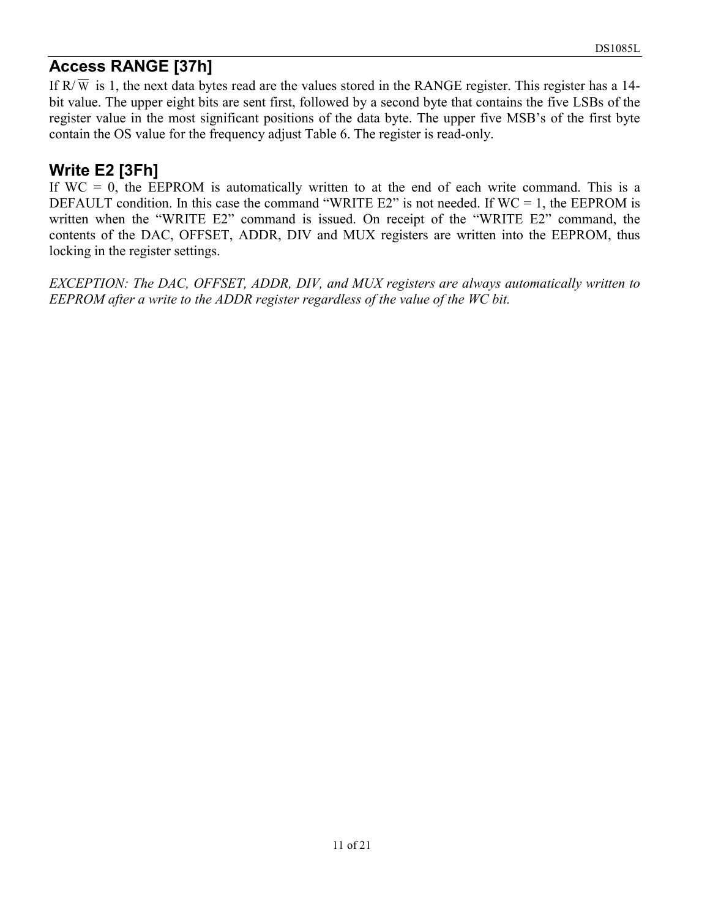# **Access RANGE [37h]**

If  $R/\overline{w}$  is 1, the next data bytes read are the values stored in the RANGE register. This register has a 14bit value. The upper eight bits are sent first, followed by a second byte that contains the five LSBs of the register value in the most significant positions of the data byte. The upper five MSB's of the first byte contain the OS value for the frequency adjust Table 6. The register is read-only.

# **Write E2 [3Fh]**

If  $WC = 0$ , the EEPROM is automatically written to at the end of each write command. This is a DEFAULT condition. In this case the command "WRITE  $E2$ " is not needed. If WC = 1, the EEPROM is written when the "WRITE E2" command is issued. On receipt of the "WRITE E2" command, the contents of the DAC, OFFSET, ADDR, DIV and MUX registers are written into the EEPROM, thus locking in the register settings.

*EXCEPTION: The DAC, OFFSET, ADDR, DIV, and MUX registers are always automatically written to EEPROM after a write to the ADDR register regardless of the value of the WC bit.*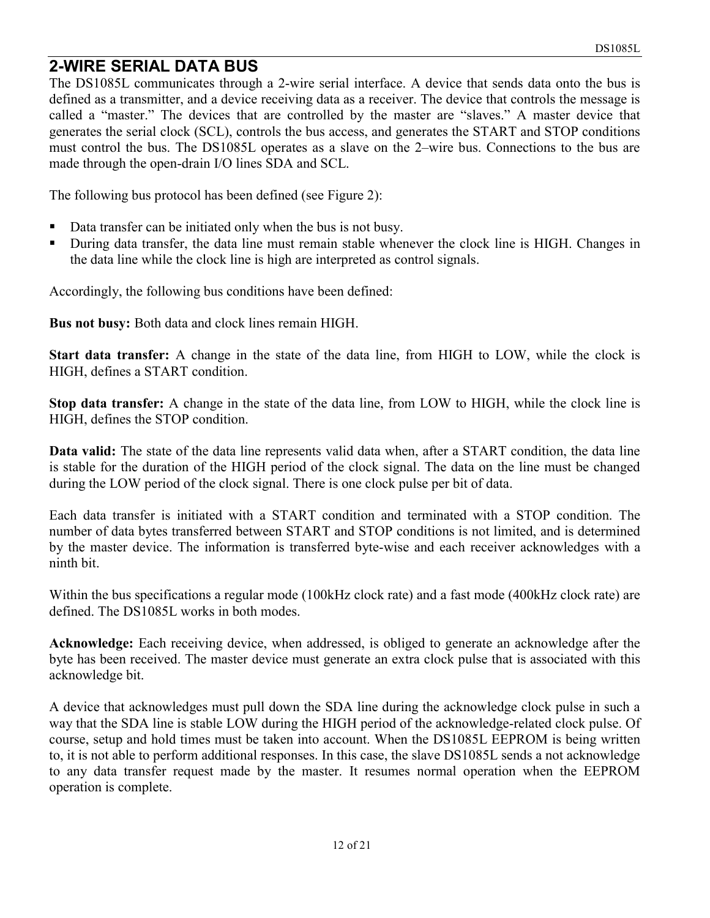# **2-WIRE SERIAL DATA BUS**

The DS1085L communicates through a 2-wire serial interface. A device that sends data onto the bus is defined as a transmitter, and a device receiving data as a receiver. The device that controls the message is called a "master." The devices that are controlled by the master are "slaves." A master device that generates the serial clock (SCL), controls the bus access, and generates the START and STOP conditions must control the bus. The DS1085L operates as a slave on the 2–wire bus. Connections to the bus are made through the open-drain I/O lines SDA and SCL.

The following bus protocol has been defined (see Figure 2):

- Data transfer can be initiated only when the bus is not busy.
- -During data transfer, the data line must remain stable whenever the clock line is HIGH. Changes in the data line while the clock line is high are interpreted as control signals.

Accordingly, the following bus conditions have been defined:

**Bus not busy:** Both data and clock lines remain HIGH.

**Start data transfer:** A change in the state of the data line, from HIGH to LOW, while the clock is HIGH, defines a START condition.

**Stop data transfer:** A change in the state of the data line, from LOW to HIGH, while the clock line is HIGH, defines the STOP condition.

**Data valid:** The state of the data line represents valid data when, after a START condition, the data line is stable for the duration of the HIGH period of the clock signal. The data on the line must be changed during the LOW period of the clock signal. There is one clock pulse per bit of data.

Each data transfer is initiated with a START condition and terminated with a STOP condition. The number of data bytes transferred between START and STOP conditions is not limited, and is determined by the master device. The information is transferred byte-wise and each receiver acknowledges with a ninth bit.

Within the bus specifications a regular mode (100kHz clock rate) and a fast mode (400kHz clock rate) are defined. The DS1085L works in both modes.

**Acknowledge:** Each receiving device, when addressed, is obliged to generate an acknowledge after the byte has been received. The master device must generate an extra clock pulse that is associated with this acknowledge bit.

A device that acknowledges must pull down the SDA line during the acknowledge clock pulse in such a way that the SDA line is stable LOW during the HIGH period of the acknowledge-related clock pulse. Of course, setup and hold times must be taken into account. When the DS1085L EEPROM is being written to, it is not able to perform additional responses. In this case, the slave DS1085L sends a not acknowledge to any data transfer request made by the master. It resumes normal operation when the EEPROM operation is complete.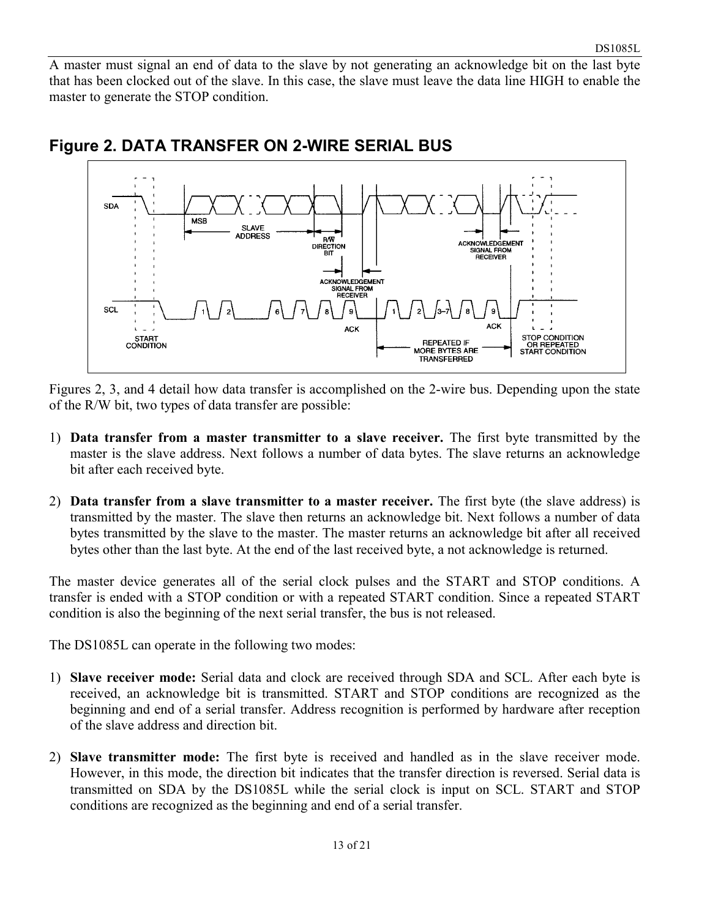A master must signal an end of data to the slave by not generating an acknowledge bit on the last byte that has been clocked out of the slave. In this case, the slave must leave the data line HIGH to enable the master to generate the STOP condition.



#### **Figure 2. DATA TRANSFER ON 2-WIRE SERIAL BUS**

Figures 2, 3, and 4 detail how data transfer is accomplished on the 2-wire bus. Depending upon the state of the R/W bit, two types of data transfer are possible:

- 1) **Data transfer from a master transmitter to a slave receiver.** The first byte transmitted by the master is the slave address. Next follows a number of data bytes. The slave returns an acknowledge bit after each received byte.
- 2) **Data transfer from a slave transmitter to a master receiver.** The first byte (the slave address) is transmitted by the master. The slave then returns an acknowledge bit. Next follows a number of data bytes transmitted by the slave to the master. The master returns an acknowledge bit after all received bytes other than the last byte. At the end of the last received byte, a not acknowledge is returned.

The master device generates all of the serial clock pulses and the START and STOP conditions. A transfer is ended with a STOP condition or with a repeated START condition. Since a repeated START condition is also the beginning of the next serial transfer, the bus is not released.

The DS1085L can operate in the following two modes:

- 1) **Slave receiver mode:** Serial data and clock are received through SDA and SCL. After each byte is received, an acknowledge bit is transmitted. START and STOP conditions are recognized as the beginning and end of a serial transfer. Address recognition is performed by hardware after reception of the slave address and direction bit.
- 2) **Slave transmitter mode:** The first byte is received and handled as in the slave receiver mode. However, in this mode, the direction bit indicates that the transfer direction is reversed. Serial data is transmitted on SDA by the DS1085L while the serial clock is input on SCL. START and STOP conditions are recognized as the beginning and end of a serial transfer.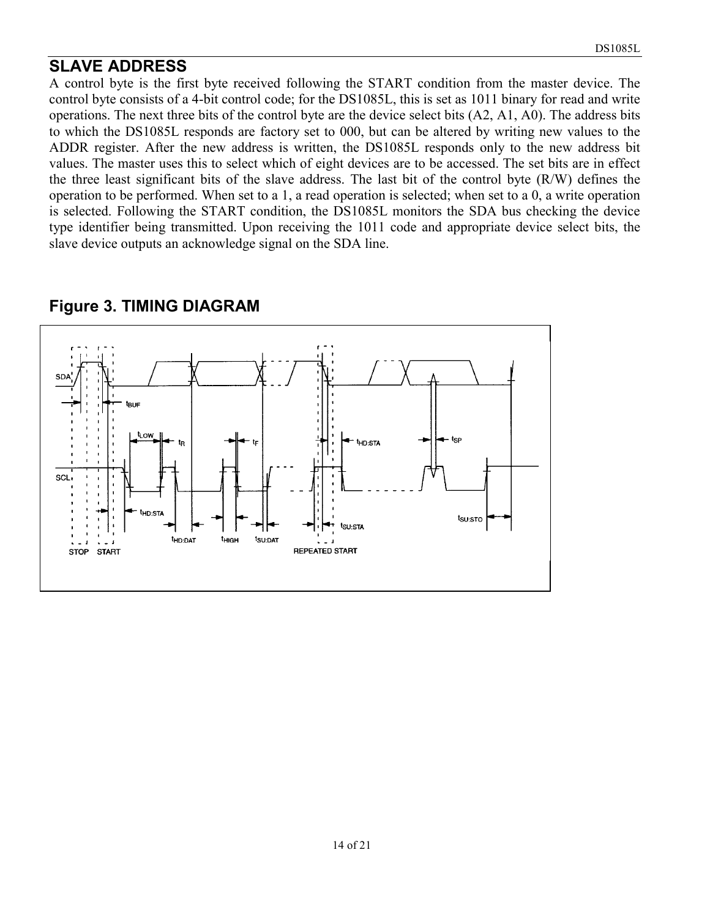## **SLAVE ADDRESS**

A control byte is the first byte received following the START condition from the master device. The control byte consists of a 4-bit control code; for the DS1085L, this is set as 1011 binary for read and write operations. The next three bits of the control byte are the device select bits (A2, A1, A0). The address bits to which the DS1085L responds are factory set to 000, but can be altered by writing new values to the ADDR register. After the new address is written, the DS1085L responds only to the new address bit values. The master uses this to select which of eight devices are to be accessed. The set bits are in effect the three least significant bits of the slave address. The last bit of the control byte (R/W) defines the operation to be performed. When set to a 1, a read operation is selected; when set to a 0, a write operation is selected. Following the START condition, the DS1085L monitors the SDA bus checking the device type identifier being transmitted. Upon receiving the 1011 code and appropriate device select bits, the slave device outputs an acknowledge signal on the SDA line.



#### **Figure 3. TIMING DIAGRAM**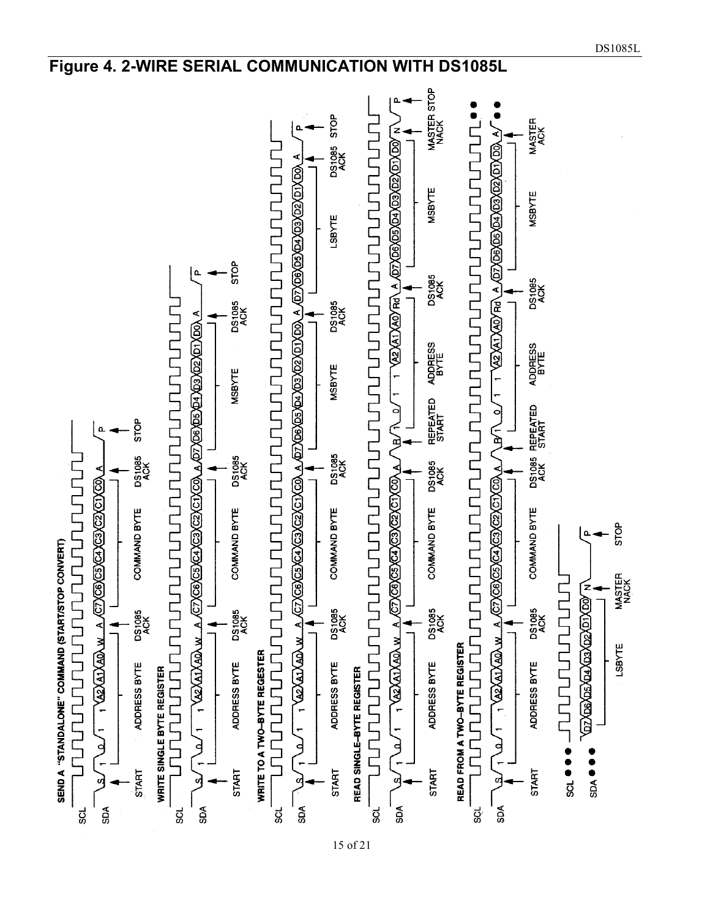

## **Figure 4. 2-WIRE SERIAL COMMUNICATION WITH DS1085L**

15 of 21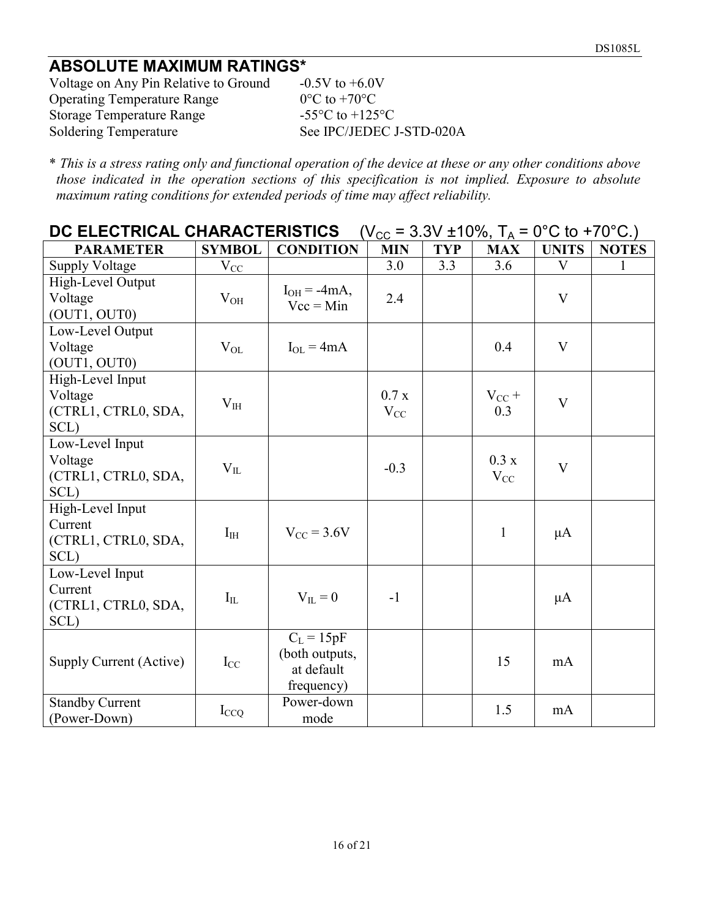# **ABSOLUTE MAXIMUM RATINGS\***

Voltage on Any Pin Relative to Ground  $-0.5V$  to  $+6.0V$ Operating Temperature Range  $0^{\circ}$ C to +70 $^{\circ}$ C Storage Temperature Range -55°C to +125°C<br>Soldering Temperature - See IPC/JEDEC. See IPC/JEDEC J-STD-020A

\* *This is a stress rating only and functional operation of the device at these or any other conditions above those indicated in the operation sections of this specification is not implied. Exposure to absolute maximum rating conditions for extended periods of time may affect reliability.* 

| DC ELECTRICAL CHARACTERISTICS $(V_{CC} = 3.3V \pm 10\%, T_A = 0^{\circ}C \text{ to } +70^{\circ}C.)$ |  |
|------------------------------------------------------------------------------------------------------|--|
|------------------------------------------------------------------------------------------------------|--|

| <b>PARAMETER</b>                                           | <b>SYMBOL</b> | <b>CONDITION</b>                                           | <b>MIN</b>        | <b>TYP</b> | <b>MAX</b>        | <b>UNITS</b> | <b>NOTES</b> |
|------------------------------------------------------------|---------------|------------------------------------------------------------|-------------------|------------|-------------------|--------------|--------------|
| <b>Supply Voltage</b>                                      | $V_{CC}$      |                                                            | 3.0               | 3.3        | 3.6               | V            |              |
| High-Level Output<br>Voltage<br>(OUT1, OUT0)               | $V_{OH}$      | $I_{OH} = -4mA$ ,<br>$Vec = Min$                           | 2.4               |            |                   | V            |              |
| Low-Level Output<br>Voltage<br>(OUT1, OUT0)                | $V_{OL}$      | $I_{OL} = 4mA$                                             |                   |            | 0.4               | V            |              |
| High-Level Input<br>Voltage<br>(CTRL1, CTRL0, SDA,<br>SCL) | $V_{IH}$      |                                                            | 0.7 x<br>$V_{CC}$ |            | $V_{CC}$ +<br>0.3 | $\mathbf{V}$ |              |
| Low-Level Input<br>Voltage<br>(CTRL1, CTRL0, SDA,<br>SCL)  | $V_{IL}$      |                                                            | $-0.3$            |            | 0.3 x<br>$V_{CC}$ | $\mathbf{V}$ |              |
| High-Level Input<br>Current<br>(CTRL1, CTRL0, SDA,<br>SCL) | $I_{HH}$      | $V_{CC}$ = 3.6V                                            |                   |            | $\mathbf{1}$      | $\mu$ A      |              |
| Low-Level Input<br>Current<br>(CTRL1, CTRL0, SDA,<br>SCL)  | $I_{IL}$      | $V_{II} = 0$                                               | $-1$              |            |                   | $\mu A$      |              |
| Supply Current (Active)                                    | $I_{CC}$      | $C_L = 15pF$<br>(both outputs,<br>at default<br>frequency) |                   |            | 15                | mA           |              |
| <b>Standby Current</b><br>(Power-Down)                     | $I_{CCQ}$     | Power-down<br>mode                                         |                   |            | 1.5               | mA           |              |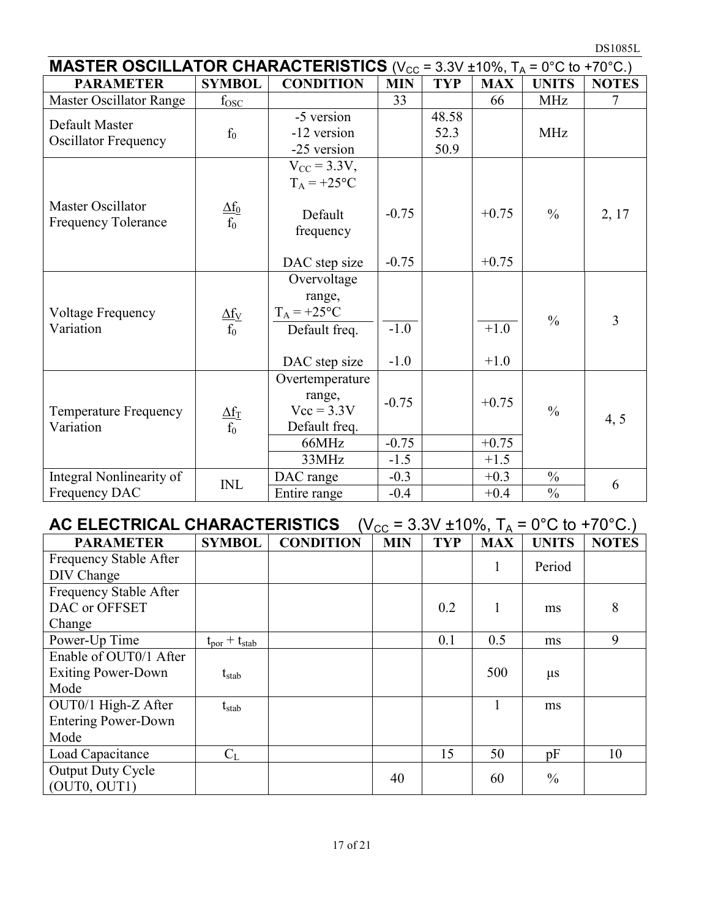| <b>MASTER OSCILLATOR CHARACTERISTICS</b> ( $V_{CC}$ = 3.3V ±10%, $T_A$ = 0°C to +70°C.) |                          |                                                                             |                    |                       |                    |               |              |  |  |  |
|-----------------------------------------------------------------------------------------|--------------------------|-----------------------------------------------------------------------------|--------------------|-----------------------|--------------------|---------------|--------------|--|--|--|
| <b>PARAMETER</b>                                                                        | <b>SYMBOL</b>            | <b>CONDITION</b>                                                            | <b>MIN</b>         | <b>TYP</b>            | <b>MAX</b>         | <b>UNITS</b>  | <b>NOTES</b> |  |  |  |
| Master Oscillator Range                                                                 | $f_{\rm{OSC}}$           |                                                                             | 33                 |                       | 66                 | <b>MHz</b>    | $\tau$       |  |  |  |
| Default Master<br><b>Oscillator Frequency</b>                                           | $f_0$                    | -5 version<br>-12 version<br>-25 version                                    |                    | 48.58<br>52.3<br>50.9 |                    | <b>MHz</b>    |              |  |  |  |
| Master Oscillator<br>Frequency Tolerance                                                | $\frac{\Delta f_0}{f_0}$ | $V_{CC} = 3.3V,$<br>$T_A = +25$ °C<br>Default<br>frequency<br>DAC step size | $-0.75$<br>$-0.75$ |                       | $+0.75$<br>$+0.75$ | $\frac{0}{0}$ | 2, 17        |  |  |  |
| Voltage Frequency<br>Variation                                                          | $\frac{\Delta f_V}{f_0}$ | Overvoltage<br>range,<br>$T_A = +25$ °C<br>Default freq.<br>DAC step size   | $-1.0$<br>$-1.0$   |                       | $+1.0$<br>$+1.0$   | $\frac{0}{0}$ | 3            |  |  |  |
| <b>Temperature Frequency</b><br>Variation                                               | $\frac{\Delta f_T}{f_0}$ | Overtemperature<br>range,<br>$Vcc = 3.3V$<br>Default freq.<br>66MHz         | $-0.75$<br>$-0.75$ |                       | $+0.75$<br>$+0.75$ | $\frac{0}{0}$ | 4, 5         |  |  |  |
|                                                                                         |                          | 33MHz                                                                       | $-1.5$             |                       | $+1.5$             |               |              |  |  |  |
| Integral Nonlinearity of                                                                | INL                      | DAC range                                                                   | $-0.3$             |                       | $+0.3$             | $\frac{0}{0}$ | 6            |  |  |  |
| Frequency DAC                                                                           |                          | Entire range                                                                | $-0.4$             |                       | $+0.4$             | $\frac{0}{0}$ |              |  |  |  |

| AC ELECTRICAL CHARACTERISTICS<br>$(V_{CC} = 3.3V \pm 10\%, T_A = 0\degree C$ to +70 $\degree C$ .) |                                    |                  |            |            |            |               |              |  |  |  |
|----------------------------------------------------------------------------------------------------|------------------------------------|------------------|------------|------------|------------|---------------|--------------|--|--|--|
| <b>PARAMETER</b>                                                                                   | <b>SYMBOL</b>                      | <b>CONDITION</b> | <b>MIN</b> | <b>TYP</b> | <b>MAX</b> | <b>UNITS</b>  | <b>NOTES</b> |  |  |  |
| Frequency Stable After<br>DIV Change                                                               |                                    |                  |            |            | 1          | Period        |              |  |  |  |
| Frequency Stable After<br>DAC or OFFSET<br>Change                                                  |                                    |                  |            | 0.2        |            | ms            | 8            |  |  |  |
| Power-Up Time                                                                                      | $t_{\text{por}} + t_{\text{stab}}$ |                  |            | 0.1        | 0.5        | ms            | 9            |  |  |  |
| Enable of OUT0/1 After                                                                             |                                    |                  |            |            |            |               |              |  |  |  |
| <b>Exiting Power-Down</b>                                                                          | $t_{stab}$                         |                  |            |            | 500        | $\mu$ s       |              |  |  |  |
| Mode                                                                                               |                                    |                  |            |            |            |               |              |  |  |  |
| OUT0/1 High-Z After                                                                                | $t_{stab}$                         |                  |            |            |            | ms            |              |  |  |  |
| <b>Entering Power-Down</b>                                                                         |                                    |                  |            |            |            |               |              |  |  |  |
| Mode                                                                                               |                                    |                  |            |            |            |               |              |  |  |  |
| Load Capacitance                                                                                   | $C_{L}$                            |                  |            | 15         | 50         | pF            | 10           |  |  |  |
| <b>Output Duty Cycle</b><br>(OUT0, OUT1)                                                           |                                    |                  | 40         |            | 60         | $\frac{0}{0}$ |              |  |  |  |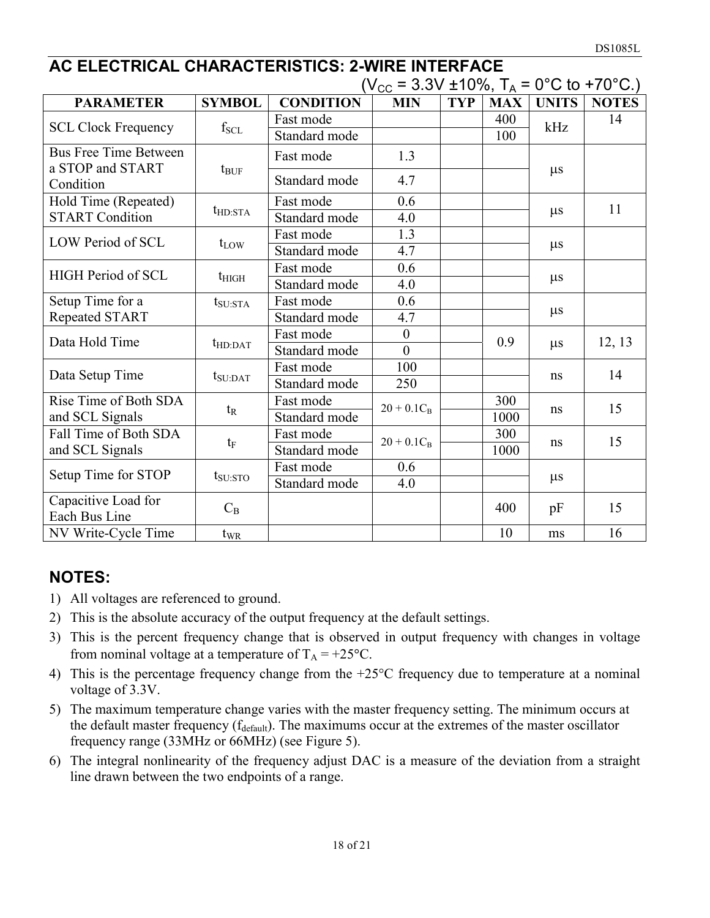# **AC ELECTRICAL CHARACTERISTICS: 2-WIRE INTERFACE**

|                                                  |                     |                  | ( $V_{CC}$ = 3.3V ±10%, T <sub>A</sub> = 0°C to +70°C.) |            |            |              |              |  |
|--------------------------------------------------|---------------------|------------------|---------------------------------------------------------|------------|------------|--------------|--------------|--|
| <b>PARAMETER</b>                                 | <b>SYMBOL</b>       | <b>CONDITION</b> | <b>MIN</b>                                              | <b>TYP</b> | <b>MAX</b> | <b>UNITS</b> | <b>NOTES</b> |  |
| <b>SCL Clock Frequency</b>                       | $f_{\rm SCL}$       | Fast mode        |                                                         |            | 400        | kHz          | 14           |  |
|                                                  |                     | Standard mode    |                                                         |            | 100        |              |              |  |
| <b>Bus Free Time Between</b><br>a STOP and START | $t_{\text{BUF}}$    | Fast mode        | 1.3                                                     |            |            | $\mu s$      |              |  |
| Condition                                        |                     | Standard mode    | 4.7                                                     |            |            |              |              |  |
| Hold Time (Repeated)                             |                     | Fast mode        | 0.6                                                     |            |            |              | 11           |  |
| <b>START Condition</b>                           | $t_{HD:STA}$        | Standard mode    | 4.0                                                     |            |            | $\mu s$      |              |  |
| LOW Period of SCL                                |                     | Fast mode        | 1.3                                                     |            |            |              |              |  |
|                                                  | $t_{LOW}$           | Standard mode    | 4.7                                                     |            |            | $\mu$ s      |              |  |
| <b>HIGH Period of SCL</b>                        |                     | Fast mode        | 0.6                                                     |            |            |              |              |  |
|                                                  | $t_{\rm HIGH}$      | Standard mode    | 4.0                                                     |            |            | $\mu$ s      |              |  |
| Setup Time for a                                 | $t_{\rm SU:STA}$    | Fast mode        | 0.6                                                     |            |            |              |              |  |
| <b>Repeated START</b>                            |                     | Standard mode    | 4.7                                                     |            |            | $\mu s$      |              |  |
| Data Hold Time                                   | $t_{HD:DAT}$        | Fast mode        | $\theta$                                                |            | 0.9        | $\mu s$      |              |  |
|                                                  |                     | Standard mode    | $\theta$                                                |            |            |              | 12, 13       |  |
| Data Setup Time                                  |                     | Fast mode        | 100                                                     |            |            |              | 14           |  |
|                                                  | $t_{\text{SU:DAT}}$ | Standard mode    | 250                                                     |            |            | ns           |              |  |
| Rise Time of Both SDA                            |                     | Fast mode        | $20 + 0.1C_B$                                           |            | 300        |              |              |  |
| and SCL Signals                                  | $t_{R}$             | Standard mode    |                                                         |            | 1000       | ns           | 15           |  |
| Fall Time of Both SDA                            |                     | Fast mode        | $20 + 0.1C_B$                                           |            | 300        |              | 15           |  |
| and SCL Signals                                  | $t_F$               | Standard mode    |                                                         |            | 1000       | ns           |              |  |
|                                                  |                     | Fast mode        | 0.6                                                     |            |            |              |              |  |
| Setup Time for STOP                              | $t_{\text{SU:STO}}$ | Standard mode    | 4.0                                                     |            |            | $\mu$ s      |              |  |
| Capacitive Load for<br>Each Bus Line             | $C_B$               |                  |                                                         |            | 400        | pF           | 15           |  |
| NV Write-Cycle Time                              | $t_{\text{WR}}$     |                  |                                                         |            | 10         | ms           | 16           |  |

# **NOTES:**

- 1) All voltages are referenced to ground.
- 2) This is the absolute accuracy of the output frequency at the default settings.
- 3) This is the percent frequency change that is observed in output frequency with changes in voltage from nominal voltage at a temperature of  $T_A = +25$ °C.
- 4) This is the percentage frequency change from the +25°C frequency due to temperature at a nominal voltage of 3.3V.
- 5) The maximum temperature change varies with the master frequency setting. The minimum occurs at the default master frequency (f<sub>default</sub>). The maximums occur at the extremes of the master oscillator frequency range (33MHz or 66MHz) (see Figure 5).
- 6) The integral nonlinearity of the frequency adjust DAC is a measure of the deviation from a straight line drawn between the two endpoints of a range.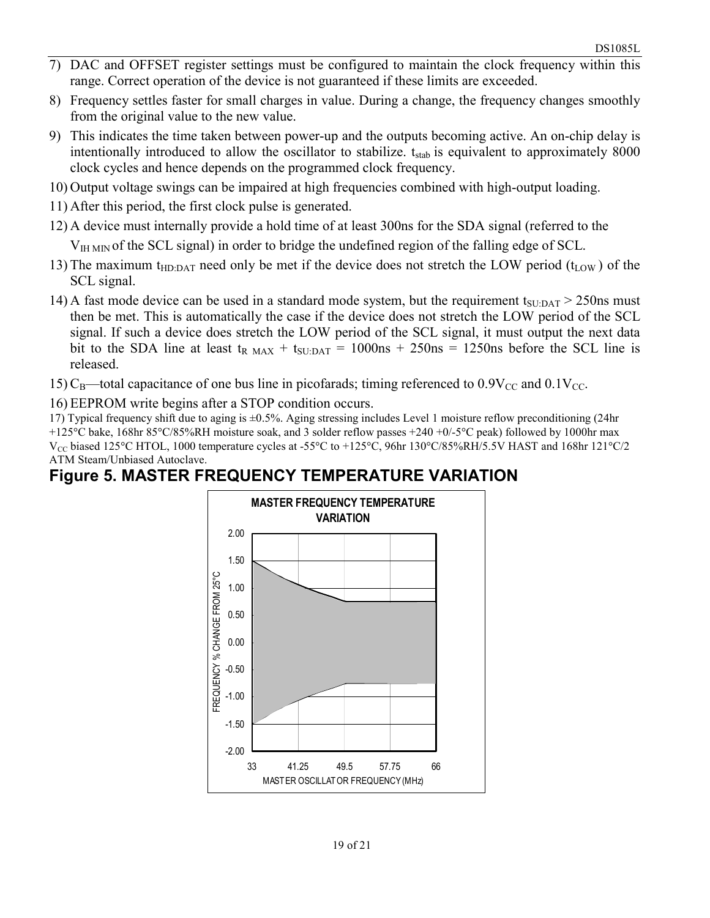- 7) DAC and OFFSET register settings must be configured to maintain the clock frequency within this range. Correct operation of the device is not guaranteed if these limits are exceeded.
- 8) Frequency settles faster for small charges in value. During a change, the frequency changes smoothly from the original value to the new value.
- 9) This indicates the time taken between power-up and the outputs becoming active. An on-chip delay is intentionally introduced to allow the oscillator to stabilize.  $t_{stab}$  is equivalent to approximately 8000 clock cycles and hence depends on the programmed clock frequency.
- 10) Output voltage swings can be impaired at high frequencies combined with high-output loading.
- 11) After this period, the first clock pulse is generated.
- 12) A device must internally provide a hold time of at least 300ns for the SDA signal (referred to the
	- $V<sub>IH MIN</sub>$  of the SCL signal) in order to bridge the undefined region of the falling edge of SCL.
- 13) The maximum t<sub>HD:DAT</sub> need only be met if the device does not stretch the LOW period (t<sub>LOW</sub>) of the SCL signal.
- 14) A fast mode device can be used in a standard mode system, but the requirement  $t_{\text{SUPAT}} > 250$ ns must then be met. This is automatically the case if the device does not stretch the LOW period of the SCL signal. If such a device does stretch the LOW period of the SCL signal, it must output the next data bit to the SDA line at least  $t_{R \text{ MAX}} + t_{S \text{U:DAT}} = 1000 \text{ns} + 250 \text{ns} = 1250 \text{ns}$  before the SCL line is released.
- 15) C<sub>B</sub>—total capacitance of one bus line in picofarads; timing referenced to  $0.9V_{\text{CC}}$  and  $0.1V_{\text{CC}}$ .
- 16) EEPROM write begins after a STOP condition occurs.

17) Typical frequency shift due to aging is ±0.5%. Aging stressing includes Level 1 moisture reflow preconditioning (24hr +125°C bake, 168hr 85°C/85%RH moisture soak, and 3 solder reflow passes +240 +0/-5°C peak) followed by 1000hr max  $V_{CC}$  biased 125°C HTOL, 1000 temperature cycles at -55°C to +125°C, 96hr 130°C/85%RH/5.5V HAST and 168hr 121°C/2 ATM Steam/Unbiased Autoclave.

# **Figure 5. MASTER FREQUENCY TEMPERATURE VARIATION**

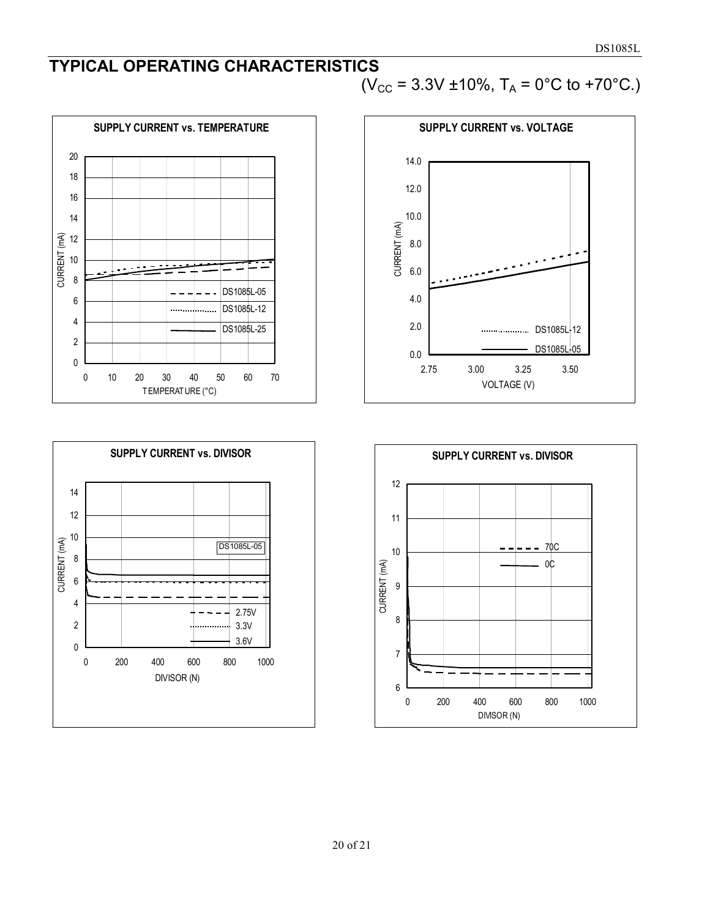# **TYPICAL OPERATING CHARACTERISTICS**  (V<sub>CC</sub> = 3.3V ±10%, T<sub>A</sub> = 0°C to +70°C.)